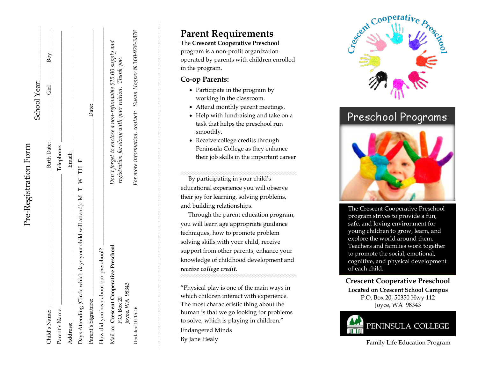|                                                                       |                    | School Year:                                                |
|-----------------------------------------------------------------------|--------------------|-------------------------------------------------------------|
| Child's Name:                                                         | <b>Birth Date:</b> | Boy<br>.<br>리                                               |
| Parent's Name:                                                        | Telephone:         |                                                             |
| Address:                                                              | Email:             |                                                             |
| Days Attending (Circle which days your child will attend): M T W TH F |                    |                                                             |
| Parent's Signature:                                                   |                    | Date:                                                       |
| How did you hear about our preschool?                                 |                    |                                                             |
| Mail to: Crescent Cooperative Preschool                               |                    | Don't forget to enclose a non-refundable \$25.00 supply and |
| 98343<br>P.O. Box 20<br>Joyce, WA                                     |                    | registration fee along with your tuition. Thank you.        |
| <b>Updated</b> 10-15-16                                               |                    | For more information, contact: Susan Hopper @ 360-928-3878  |

Pre-Registration Form

Pre-Registration Form

# **Parent Requirements**

The **Crescent Cooperative Preschool** program is a non -profit organization operated by parents with children enrolled in the program .

#### **Co -op Parents:**

- Participate in the program by working in the classroom .
- Attend monthly parent meetings.
- Help with fundraising and take on a task that helps the preschool run smoothly.
- Receive college credits through Peninsula College as they enhance their job skills in the important career

 By participating in your child's educational experience you will observe their joy for learning, solving problems, and building relationships.

 Through the parent education program, you will learn age appropriate guidance techniques, how to promote problem solving skills with your child, receive support from other parents, enhance your knowledge of childhood development and *receive college credit* . 

"Physical play is one of the main ways in which children interact with experience. The most characteristic thing about the human is that we go looking for problems to solve, which is playing in children." Endangered Minds

By Jane Healy



Preschool Programs



The Crescent Cooperative Preschool program strives to provide a fun, safe, and loving environment for young children to grow, learn, and explore the world around them. Teachers and families work together to promote the social, emotional, cognitive, and physical development of each child.

#### **Crescent Cooperative Preschool Located on Crescent School Campus**

P.O. Box 20, 50350 Hwy 112 Joyce, WA 98343



Family Life Education Program